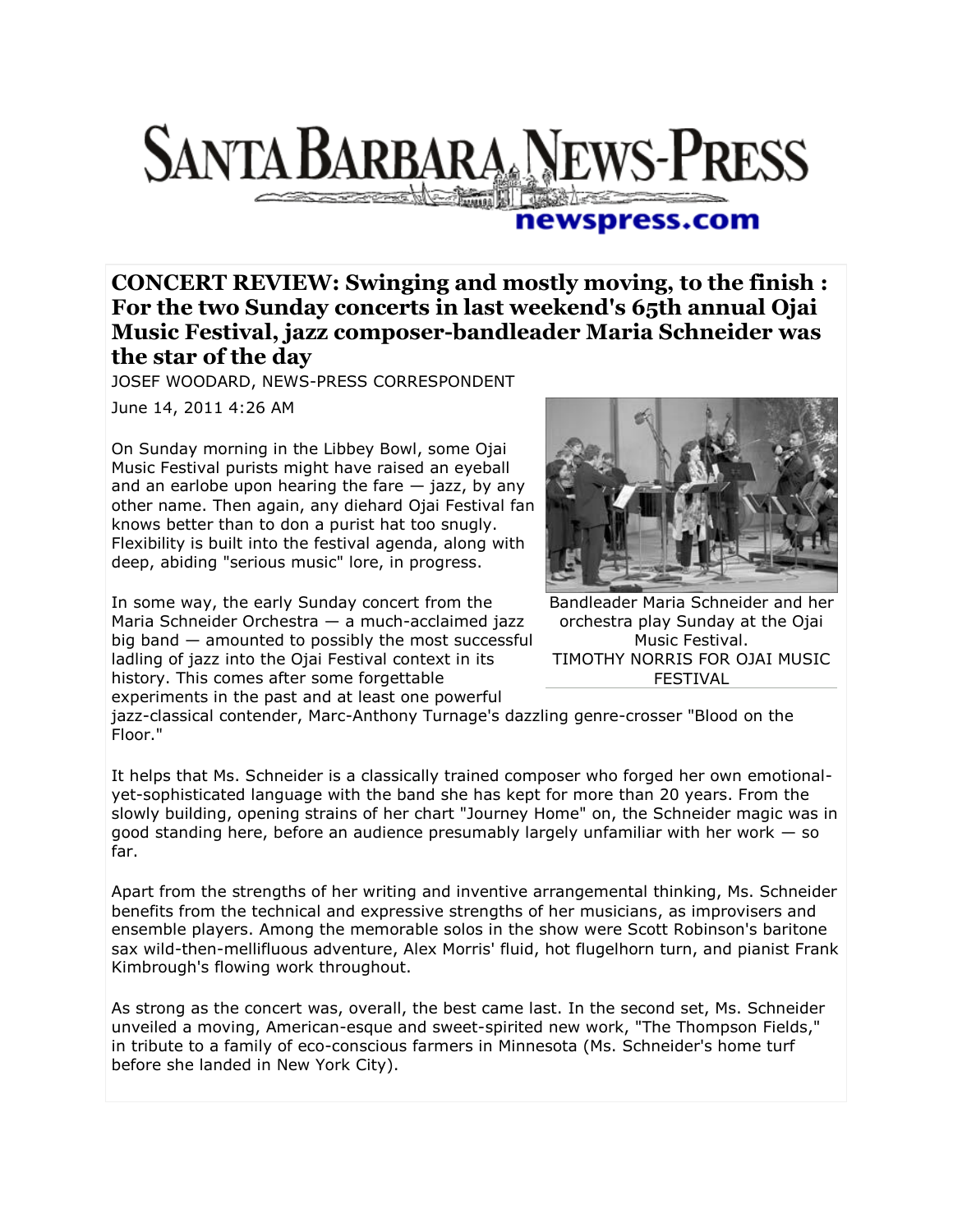

## newspress.com

**CONCERT REVIEW: Swinging and mostly moving, to the finish : For the two Sunday concerts in last weekend's 65th annual Ojai Music Festival, jazz composer-bandleader Maria Schneider was the star of the day**

JOSEF WOODARD, NEWS-PRESS CORRESPONDENT

June 14, 2011 4:26 AM

On Sunday morning in the Libbey Bowl, some Ojai Music Festival purists might have raised an eyeball and an earlobe upon hearing the fare  $-$  jazz, by any other name. Then again, any diehard Ojai Festival fan knows better than to don a purist hat too snugly. Flexibility is built into the festival agenda, along with deep, abiding "serious music" lore, in progress.

In some way, the early Sunday concert from the Maria Schneider Orchestra — a much-acclaimed jazz big band — amounted to possibly the most successful ladling of jazz into the Ojai Festival context in its history. This comes after some forgettable experiments in the past and at least one powerful



Bandleader Maria Schneider and her orchestra play Sunday at the Ojai Music Festival. TIMOTHY NORRIS FOR OJAI MUSIC FESTIVAL

jazz-classical contender, Marc-Anthony Turnage's dazzling genre-crosser "Blood on the Floor."

It helps that Ms. Schneider is a classically trained composer who forged her own emotionalyet-sophisticated language with the band she has kept for more than 20 years. From the slowly building, opening strains of her chart "Journey Home" on, the Schneider magic was in good standing here, before an audience presumably largely unfamiliar with her work  $-$  so far.

Apart from the strengths of her writing and inventive arrangemental thinking, Ms. Schneider benefits from the technical and expressive strengths of her musicians, as improvisers and ensemble players. Among the memorable solos in the show were Scott Robinson's baritone sax wild-then-mellifluous adventure, Alex Morris' fluid, hot flugelhorn turn, and pianist Frank Kimbrough's flowing work throughout.

As strong as the concert was, overall, the best came last. In the second set, Ms. Schneider unveiled a moving, American-esque and sweet-spirited new work, "The Thompson Fields," in tribute to a family of eco-conscious farmers in Minnesota (Ms. Schneider's home turf before she landed in New York City).